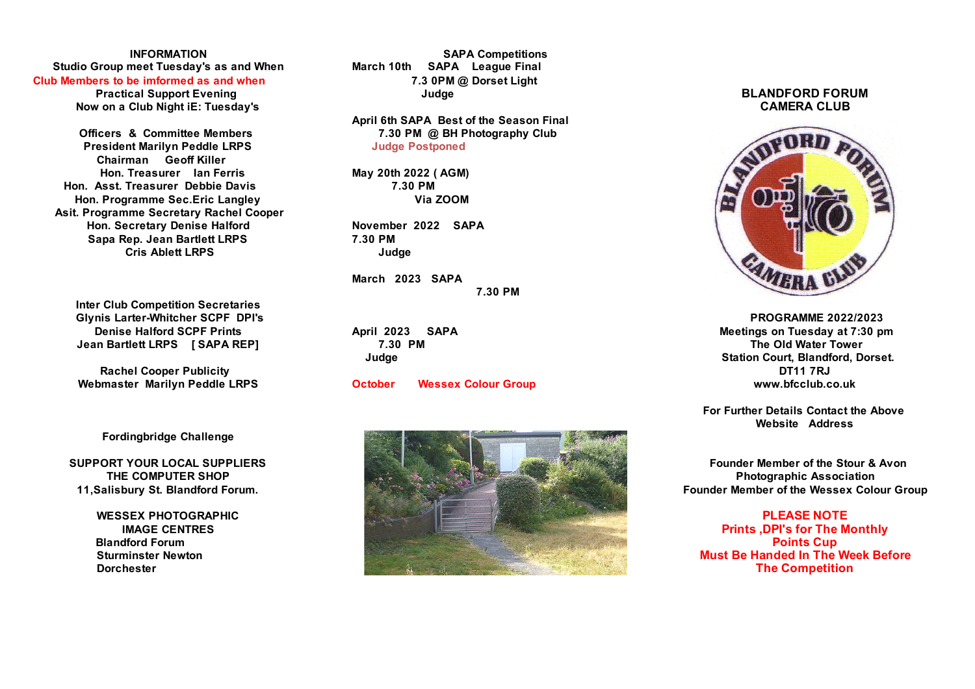## **Studio Group meet Tuesday's as and When**

**Now on a Club Night iE: Tuesday's** 

**President Marilyn Peddle LRPS** Judge Postponed  **Chairman Geoff Killer Hon. Treasurer Ian Ferris May 20th 2022 ( AGM) Hon. Asst. Treasurer Debbie Davis 7.30 PM Hon. Programme Sec.Eric Langley Via ZOOM Asit. Programme Secretary Rachel Cooper Hon. Secretary Denise Halford November 2022 SAPA Sapa Rep. Jean Bartlett LRPS 7.30 PM Cris Ablett LRPS** Judge

**Inter Club Competition Secretaries Glynis Larter-Whitcher SCPF DPI's PROGRAMME 2022/2023 Jean Bartlett LRPS [ SAPA REP] 7.30 PM The Old Water Tower**

**Rachel Cooper Publicity DT11 7RJ**

 **Fordingbridge Challenge** 

**INFORMATION SAPA Competitions Club Members to be imformed as and when 7.3 0PM @ Dorset Light**

**April 6th SAPA Best of the Season Final Officers & Committee Members 7.30 PM @ BH Photography Club** 

**March 2023 SAPA 7.30 PM**

**Webmaster Marilyn Peddle LRPS October Wessex Colour Group www.bfcclub.co.uk**



# Practical Support Evening Judge BLANDFORD FORUM<br>w on a Club Night iE: Tuesdav's Judge CAMERA CLUB



**Denise Halford SCPF Prints 6 COVID-19 April 2023 SAPA Meetings on Tuesday at 7:30 pm Judge Station Court, Blandford, Dorset.**

> **For Further Details Contact the Above Website Address**